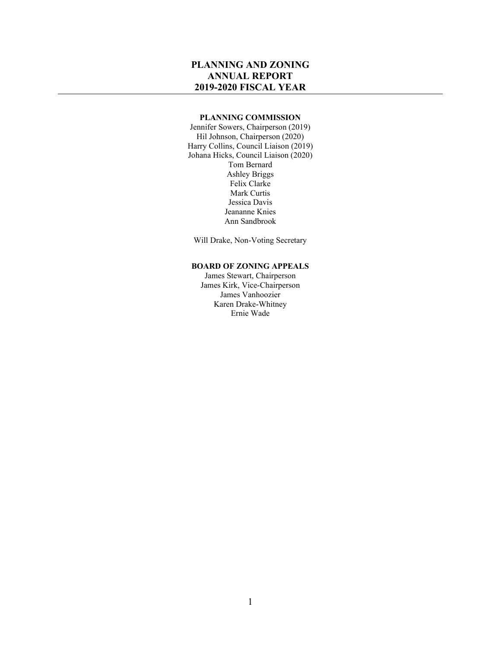## **PLANNING AND ZONING ANNUAL REPORT 2019-2020 FISCAL YEAR**

#### **PLANNING COMMISSION**

Jennifer Sowers, Chairperson (2019) Hil Johnson, Chairperson (2020) Harry Collins, Council Liaison (2019) Johana Hicks, Council Liaison (2020) Tom Bernard Ashley Briggs Felix Clarke Mark Curtis Jessica Davis Jeananne Knies Ann Sandbrook

Will Drake, Non-Voting Secretary

#### **BOARD OF ZONING APPEALS**

James Stewart, Chairperson James Kirk, Vice-Chairperson James Vanhoozier Karen Drake-Whitney Ernie Wade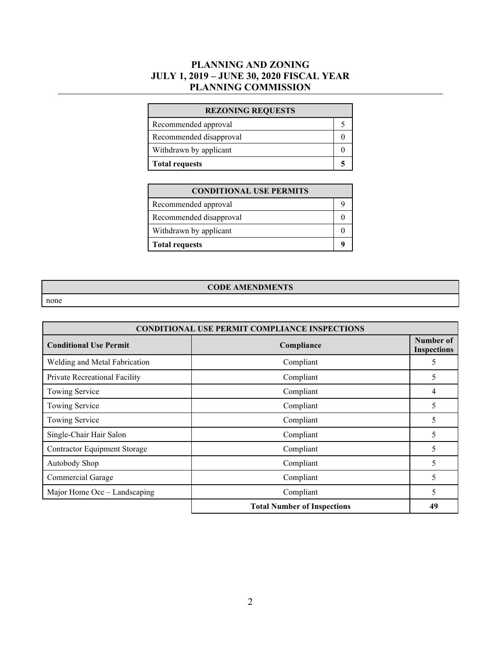## **PLANNING AND ZONING JULY 1, 2019 – JUNE 30, 2020 FISCAL YEAR PLANNING COMMISSION**

| <b>REZONING REQUESTS</b> |  |
|--------------------------|--|
| Recommended approval     |  |
| Recommended disapproval  |  |
| Withdrawn by applicant   |  |
| <b>Total requests</b>    |  |

| <b>CONDITIONAL USE PERMITS</b> |  |
|--------------------------------|--|
| Recommended approval           |  |
| Recommended disapproval        |  |
| Withdrawn by applicant         |  |
| <b>Total requests</b>          |  |

#### **CODE AMENDMENTS**

none

| <b>CONDITIONAL USE PERMIT COMPLIANCE INSPECTIONS</b> |                                    |                                 |
|------------------------------------------------------|------------------------------------|---------------------------------|
| <b>Conditional Use Permit</b>                        | Compliance                         | Number of<br><b>Inspections</b> |
| Welding and Metal Fabrication                        | Compliant                          | 5                               |
| Private Recreational Facility                        | Compliant                          | 5                               |
| Towing Service                                       | Compliant                          | 4                               |
| Towing Service                                       | Compliant                          | 5                               |
| Towing Service                                       | Compliant                          | 5                               |
| Single-Chair Hair Salon                              | Compliant                          | 5                               |
| <b>Contractor Equipment Storage</b>                  | Compliant                          | 5                               |
| Autobody Shop                                        | Compliant                          | 5                               |
| Commercial Garage                                    | Compliant                          | 5                               |
| Major Home Occ - Landscaping                         | Compliant                          | 5                               |
|                                                      | <b>Total Number of Inspections</b> | 49                              |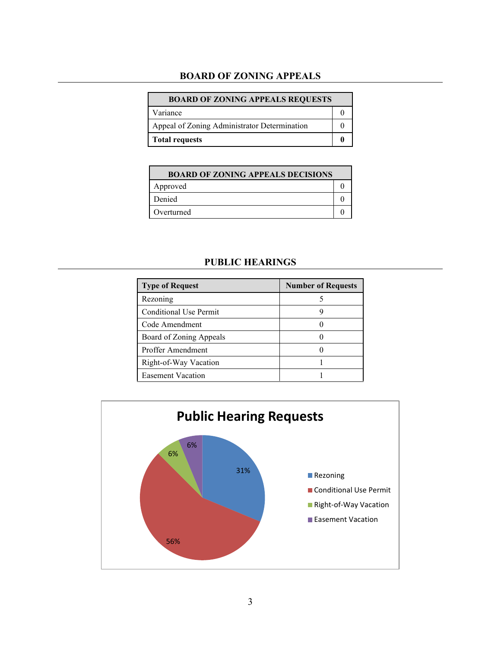### **BOARD OF ZONING APPEALS**

| <b>BOARD OF ZONING APPEALS REQUESTS</b>      |  |
|----------------------------------------------|--|
| Variance                                     |  |
| Appeal of Zoning Administrator Determination |  |
| <b>Total requests</b>                        |  |

| <b>BOARD OF ZONING APPEALS DECISIONS</b> |  |
|------------------------------------------|--|
| Approved                                 |  |
| Denied                                   |  |
| Overturned                               |  |

## **PUBLIC HEARINGS**

| <b>Type of Request</b>   | <b>Number of Requests</b> |
|--------------------------|---------------------------|
| Rezoning                 |                           |
| Conditional Use Permit   |                           |
| Code Amendment           |                           |
| Board of Zoning Appeals  |                           |
| Proffer Amendment        |                           |
| Right-of-Way Vacation    |                           |
| <b>Easement Vacation</b> |                           |

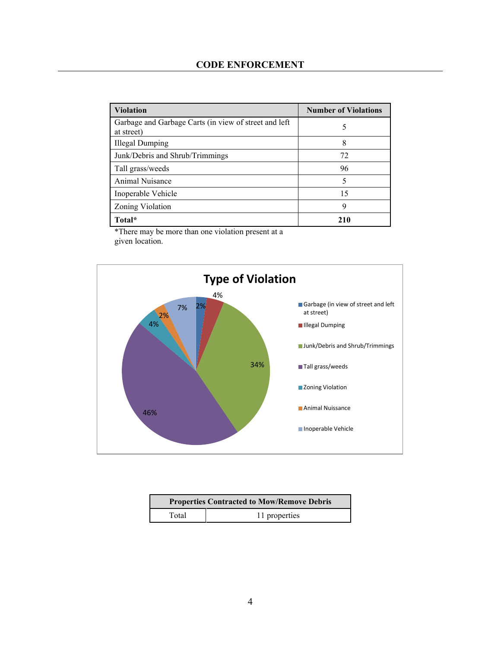| <b>Violation</b>                                                    | <b>Number of Violations</b> |
|---------------------------------------------------------------------|-----------------------------|
| Garbage and Garbage Carts (in view of street and left<br>at street) |                             |
| <b>Illegal Dumping</b>                                              | 8                           |
| Junk/Debris and Shrub/Trimmings                                     | 72                          |
| Tall grass/weeds                                                    | 96                          |
| Animal Nuisance                                                     | 5                           |
| Inoperable Vehicle                                                  | 15                          |
| Zoning Violation                                                    | Q                           |
| Total*                                                              | 210                         |

\*There may be more than one violation present at a given location.



| <b>Properties Contracted to Mow/Remove Debris</b> |               |
|---------------------------------------------------|---------------|
| Total                                             | 11 properties |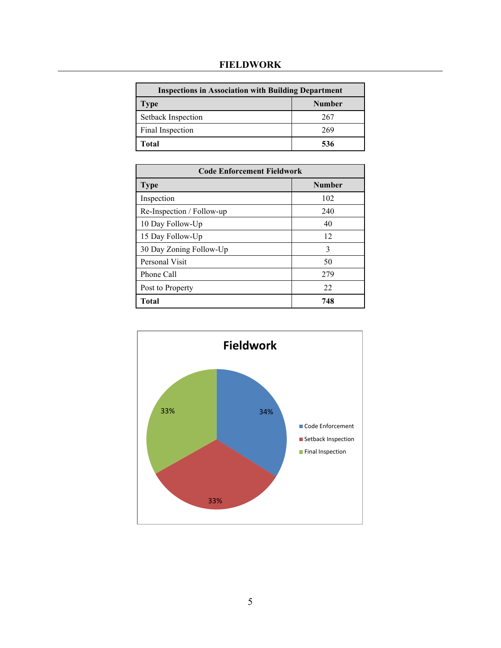# **FIELDWORK**

| <b>Inspections in Association with Building Department</b> |               |
|------------------------------------------------------------|---------------|
| <b>Type</b>                                                | <b>Number</b> |
| Setback Inspection                                         | 267           |
| Final Inspection                                           | 269           |
| Total                                                      | 536           |

| <b>Code Enforcement Fieldwork</b> |               |
|-----------------------------------|---------------|
| <b>Type</b>                       | <b>Number</b> |
| Inspection                        | 102           |
| Re-Inspection / Follow-up         | 240           |
| 10 Day Follow-Up                  | 40            |
| 15 Day Follow-Up                  | 12            |
| 30 Day Zoning Follow-Up           | 3             |
| Personal Visit                    | 50            |
| Phone Call                        | 279           |
| Post to Property                  | 22            |
| Total                             | 748           |